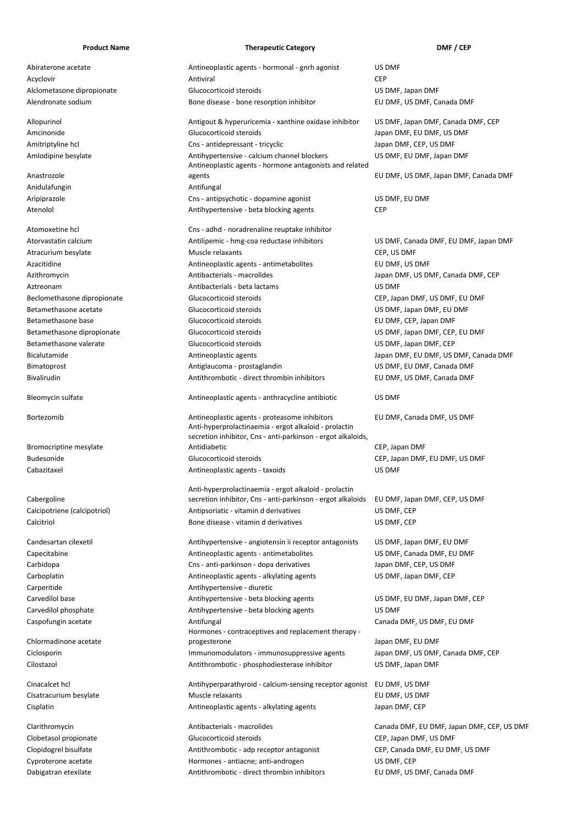Anastrozole

Bromocriptine mesylate

Cabergoline

Chlormadinone acetate

## **Product Name Therapeutic Category DMF / CEP**

Abiraterone acetate **Antineoplastic agents - hormonal - gnrh agonist** US DMF Acyclovir Antiviral CEP Alclometasone dipropionate Glucocorticoid steroids US DMF, Japan DMF Alendronate sodium Bone disease - bone resorption inhibitor EU DMF, US DMF, Canada DMF Allopurinol Antigout & hyperuricemia - xanthine oxidase inhibitor US DMF, Japan DMF, Canada DMF, CEP Amcinonide Glucocorticoid steroids Japan DMF, EU DMF, US DMF Amitriptyline hcl Cns - antidepressant - tricyclic Cns - antidepressant - tricyclic Japan DMF, CEP, US DMF Amlodipine besylate **Antihypertensive - calcium channel blockers** US DMF, EU DMF, Japan DMF Antineoplastic agents - hormone antagonists and related agents EU DMF, US DMF, Japan DMF, Canada DMF Anidulafungin **Antifungal** Aripiprazole **Company Company** Cns - antipsychotic - dopamine agonist COME, EU DMF, EU DMF Atenolol Antihypertensive - beta blocking agents CEP Atomoxetine hcl **Constant Conserverse Executes** Cns - adhd - noradrenaline reuptake inhibitor Atorvastatin calcium **Antilipemic - hmg-coa reductase inhibitors** US DMF, Canada DMF, EU DMF, Japan DMF Atracurium besylate and the Muscle relaxants and the CEP, US DMF Azacitidine **Antineoplastic agents - antimetabolites** EU DMF, US DMF Azithromycin Antibacterials - macrolides Japan DMF, US DMF, Canada DMF, CEP Aztreonam Antibacterials - beta lactams US DMF Beclomethasone dipropionate Glucocorticoid steroids CEP, Japan DMF, US DMF, EU DMF Betamethasone acetate Glucocorticoid steroids US DMF, Japan DMF, EU DMF Betamethasone base examples and the Glucocorticoid steroids and the example of the EU DMF, CEP, Japan DMF Betamethasone dipropionate Glucocorticoid steroids US DMF, Japan DMF, CEP, EU DMF Betamethasone valerate Glucocorticoid steroids US DMF, Japan DMF, CEP Bicalutamide **Antineoplastic agents** Japan DMF, EU DMF, US DMF, Canada DMF Bimatoprost **Antiglaucoma - prostaglandin** Muslim Custom F. EU DMF, EU DMF, Canada DMF Bivalirudin **Antithrombotic - direct thrombin inhibitors** EU DMF, US DMF, Canada DMF Bleomycin sulfate **Antineoplastic agents - anthracycline antibiotic** US DMF Bortezomib **Antineoplastic agents - proteasome inhibitors** EU DMF, Canada DMF, US DMF Anti-hyperprolactinaemia - ergot alkaloid - prolactin secretion inhibitor, Cns - anti-parkinson - ergot alkaloids, Antidiabetic **CEP**, Japan DMF Budesonide Glucocorticoid steroids CEP, Japan DMF, EU DMF, US DMF Cabazitaxel Cabazitaxel Cabazitaxel Antineoplastic agents - taxoids Cabazitaxel US DMF Anti-hyperprolactinaemia - ergot alkaloid - prolactin secretion inhibitor, Cns - anti-parkinson - ergot alkaloids EU DMF, Japan DMF, CEP, US DMF Calcipotriene (calcipotriol) Antipsoriatic - vitamin d derivatives US DMF, CEP Calcitriol Bone disease - vitamin d derivatives US DMF, CEP Candesartan cilexetil Antihypertensive - angiotensin ii receptor antagonists US DMF, Japan DMF, EU DMF Capecitabine **Antineoplastic agents - antimetabolites** US DMF, Canada DMF, EU DMF Carbidopa **Carbidopa** Cns - anti-parkinson - dopa derivatives Japan DMF, CEP, US DMF Carboplatin **Antineoplastic agents - alkylating agents** US DMF, Japan DMF, CEP CEP Carperitide **Antihypertensive - diuretic** Carvedilol base **Antihypertensive - beta blocking agents** US DMF, EU DMF, Japan DMF, CEP Carvedilol phosphate and Antihypertensive - beta blocking agents and DS DMF Caspofungin acetate **Antifungal Canada DMF, US DMF, EU DMF** Canada DMF, US DMF, EU DMF Hormones - contraceptives and replacement therapy progesterone and a state of the Japan DMF, EU DMF Ciclosporin Immunomodulators - immunosuppressive agents Japan DMF, US DMF, Canada DMF, CEP Cilostazol Antithrombotic - phosphodiesterase inhibitor US DMF, Japan DMF Cinacalcet hcl Antihyperparathyroid - calcium-sensing receptor agonist EU DMF, US DMF

Cisatracurium besylate and the Muscle relaxants Cisatracurium besylate and the Muscle relaxants COMF, US DMF US DMF Cisplatin Antineoplastic agents - alkylating agents Japan DMF, CEP

Clobetasol propionate Glucocorticoid steroids CEP, Japan DMF, US DMF Clopidogrel bisulfate **Antithrombotic - adp receptor antagonist** CEP, Canada DMF, EU DMF, US DMF Cyproterone acetate The Hormones - antiacne; anti-androgen anti-androgen US DMF, CEP Dabigatran etexilate Antithrombotic - direct thrombin inhibitors FU DMF, US DMF, Canada DMF

Clarithromycin Antibacterials - macrolides Canada DMF, EU DMF, Japan DMF, CEP, US DMF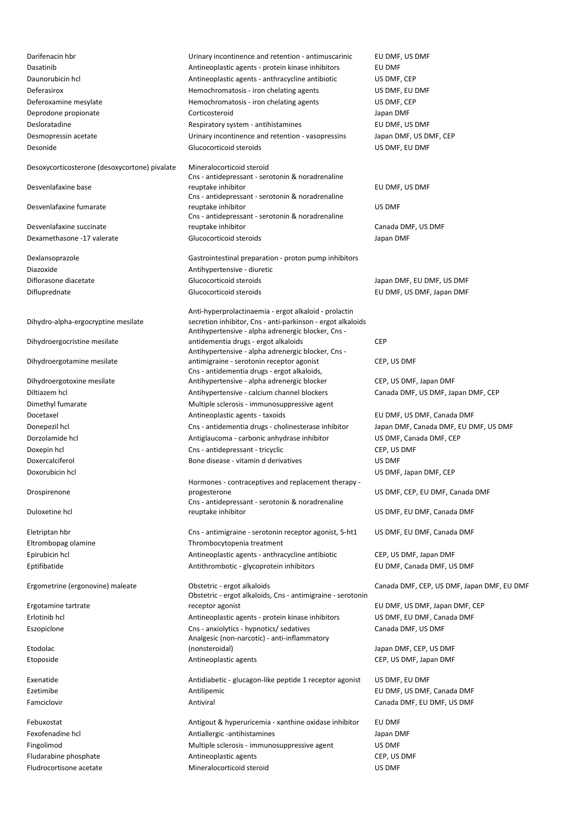Desoxycorticosterone (desoxycortone) pivalate Mineralocorticoid steroid

Desvenlafaxine base

Desvenlafaxine fumarate

Desvenlafaxine succinate

Dihydro-alpha-ergocryptine mesilate

Dihydroergocristine mesilate

Dihydroergotamine mesilate

Dihydroergotoxine mesilate Doxorubicin hcl US DMF, Japan DMF, CEP

Drospirenone

Duloxetine hcl

Ergotamine tartrate

Etodolac

Darifenacin hbr Urinary incontinence and retention - antimuscarinic EU DMF, US DMF Dasatinib Antineoplastic agents - protein kinase inhibitors EU DMF Daunorubicin hcl Antineoplastic agents - anthracycline antibiotic US DMF, CEP Deferasirox **Example 20 Temochromatosis - iron chelating agents** US DMF, EU DMF Deferoxamine mesylate Hemochromatosis - iron chelating agents US DMF, CEP Deprodone propionate Corticosteroid Japan DMF Desloratadine Respiratory system - antihistamines EU DMF, US DMF Desmopressin acetate Urinary incontinence and retention - vasopressins Japan DMF, US DMF, CEP Desonide Glucocorticoid steroids US DMF, EU DMF

Cns - antidepressant - serotonin & noradrenaline reuptake inhibitor and the extension of the EU DMF, US DMF Cns - antidepressant - serotonin & noradrenaline reuptake inhibitor and the use of the US DMF Cns - antidepressant - serotonin & noradrenaline reuptake inhibitor Canada DMF, US DMF Dexamethasone -17 valerate and the Glucocorticoid steroids and the control of the Japan DMF

Dexlansoprazole Gastrointestinal preparation - proton pump inhibitors Diazoxide **Antihypertensive - diuretic** Diflorasone diacetate Glucocorticoid steroids Japan DMF, EU DMF, US DMF Difluprednate Glucocorticoid steroids EU DMF, US DMF, Japan DMF

Anti-hyperprolactinaemia - ergot alkaloid - prolactin secretion inhibitor, Cns - anti-parkinson - ergot alkaloids Antihypertensive - alpha adrenergic blocker, Cns antidementia drugs - ergot alkaloids CEP Antihypertensive - alpha adrenergic blocker, Cns antimigraine - serotonin receptor agonist CEP, US DMF Cns - antidementia drugs - ergot alkaloids, Antihypertensive - alpha adrenergic blocker CEP, US DMF, Japan DMF Diltiazem hcl Antihypertensive - calcium channel blockers Canada DMF, US DMF, Japan DMF, CEP Dimethyl fumarate Multiple sclerosis - immunosuppressive agent Docetaxel **Antineoplastic agents - taxoids Antineoplastic agents - taxoids EU DMF, US DMF, Canada DMF** Donepezil hcl Cns - antidementia drugs - cholinesterase inhibitor Japan DMF, Canada DMF, EU DMF, US DMF Dorzolamide hcl Antiglaucoma - carbonic anhydrase inhibitor US DMF, Canada DMF, CEP Doxepin hcl Cns - antidepressant - tricyclic CEP, US DMF Doxercalciferol Bone disease - vitamin d derivatives US DMF

> Hormones - contraceptives and replacement therapy progesterone US DMF, CEP, EU DMF, Canada DMF Cns - antidepressant - serotonin & noradrenaline reuptake inhibitor US DMF, EU DMF, Canada DMF

Eletriptan hbr Cns - antimigraine - serotonin receptor agonist, 5-ht1 US DMF, EU DMF, Canada DMF Eltrombopag olamine Thrombocytopenia treatment Epirubicin hcl Antineoplastic agents - anthracycline antibiotic CEP, US DMF, Japan DMF Eptifibatide **Antithrombotic - glycoprotein inhibitors** EU DMF, Canada DMF, US DMF

Ergometrine (ergonovine) maleate Obstetric - ergot alkaloids Canada DMF, CEP, US DMF, Japan DMF, EU DMF Obstetric - ergot alkaloids, Cns - antimigraine - serotonin receptor agonist EU DMF, US DMF, Japan DMF, CEP Erlotinib hcl Antineoplastic agents - protein kinase inhibitors US DMF, EU DMF, Canada DMF Eszopiclone Cns - anxiolytics - hypnotics/ sedatives Canada DMF, US DMF Analgesic (non-narcotic) - anti-inflammatory (nonsteroidal) Japan DMF, CEP, US DMF Etoposide **Antineoplastic agents** CEP, US DMF, Japan DMF

Exenatide **Antidiabetic - glucagon-like peptide 1 receptor agonist** US DMF, EU DMF Ezetimibe **Antilipemic** Antilipemic **Antilipemic** EU DMF, US DMF, Canada DMF Famciclovir **Antiviral Canada DMF, EU DMF, US DMF** Canada DMF, EU DMF, US DMF

Febuxostat Antigout & hyperuricemia - xanthine oxidase inhibitor EU DMF Fexofenadine hcl **Antiallergic -antihistamines** Antiallergic -antihistamines Antiallergic -antihistamines Fingolimod Multiple sclerosis - immunosuppressive agent US DMF Fludarabine phosphate and the Antineoplastic agents and the CEP, US DMF Fludrocortisone acetate Mineralocorticoid steroid US DMF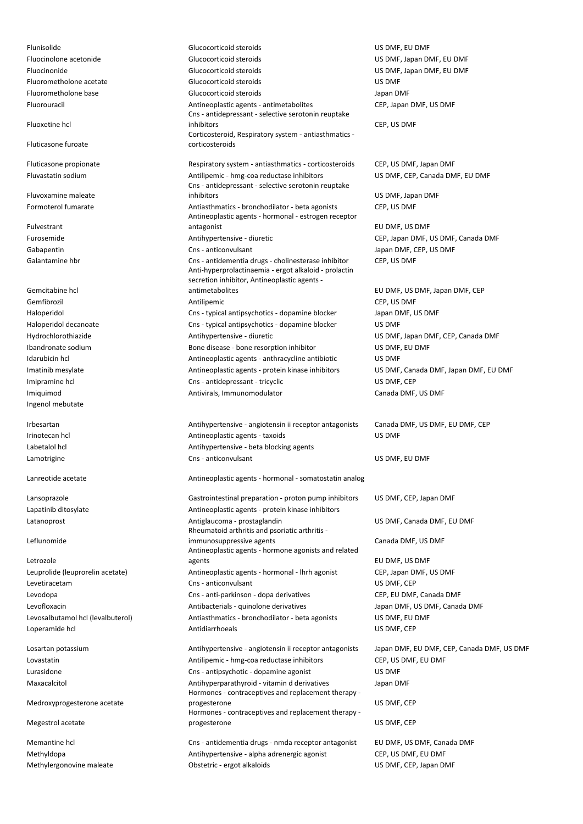Fluoxetine hcl

Fluticasone furoate

Fluvoxamine maleate

Fulvestrant

Gemcitabine hcl Imiquimod Antivirals, Immunomodulator Canada DMF, US DMF Ingenol mebutate

Leflunomide

Letrozole

Medroxyprogesterone acetate

Megestrol acetate

Flunisolide Glucocorticoid steroids US DMF, EU DMF Fluocinolone acetonide Glucocorticoid steroids US DMF, Japan DMF, EU DMF Fluocinonide Glucocorticoid steroids US DMF, Japan DMF, EU DMF Fluorometholone acetate Glucocorticoid steroids US DMF Fluorometholone base Glucocorticoid steroids Japan DMF Fluorouracil Antineoplastic agents - antimetabolites CEP, Japan DMF, US DMF Cns - antidepressant - selective serotonin reuptake inhibitors CEP, US DMF Corticosteroid, Respiratory system - antiasthmatics corticosteroids Fluticasone propionate examples and a Respiratory system - antiasthmatics - corticosteroids CEP, US DMF, Japan DMF Fluvastatin sodium **Antilipemic - hmg-coa reductase inhibitors** US DMF, CEP, Canada DMF, EU DMF Cns - antidepressant - selective serotonin reuptake inhibitors **US DMF, Japan DMF** Formoterol fumarate **Antiasthmatics - bronchodilator - beta agonists** CEP, US DMF Antineoplastic agents - hormonal - estrogen receptor antagonist EU DMF, US DMF Furosemide **Antihypertensive - diuretic** CEP, Japan DMF, US DMF, Canada DMF Canada DMF Gabapentin **Capan DMF, CEP, US DMF** CHA CONS - anticonvulsant Constant Constant Capan DMF, CEP, US DMF Galantamine hbr Cases antidementia drugs - cholinesterase inhibitor CEP, US DMF Anti-hyperprolactinaemia - ergot alkaloid - prolactin secretion inhibitor, Antineoplastic agents antimetabolites EU DMF, US DMF, Japan DMF, CEP Gemfibrozil Antilipemic CEP, US DMF Haloperidol Cns - typical antipsychotics - dopamine blocker Japan DMF, US DMF Haloperidol decanoate Cns - typical antipsychotics - dopamine blocker US DMF Hydrochlorothiazide Antihypertensive - diuretic US DMF, Japan DMF, CEP, Canada DMF Ibandronate sodium Bone disease - bone resorption inhibitor US DMF, EU DMF Idarubicin hcl Antineoplastic agents - anthracycline antibiotic US DMF Imatinib mesylate **Antineoplastic agents - protein kinase inhibitors** US DMF, Canada DMF, Japan DMF, EU DMF Imipramine hcl Cns - antidepressant - tricyclic US DMF, CEP

Irbesartan **Antihypertensive - angiotensin ii receptor antagonists** Canada DMF, US DMF, EU DMF, CEP Irinotecan hcl Antineoplastic agents - taxoids US DMF Labetalol hcl Antihypertensive - beta blocking agents Lamotrigine Cns - anticonvulsant US DMF, EU DMF

Lanreotide acetate Antineoplastic agents - hormonal - somatostatin analog

Lansoprazole **Gastrointestinal preparation - proton pump inhibitors** US DMF, CEP, Japan DMF Lapatinib ditosylate **Antineoplastic agents - protein kinase inhibitors** Latanoprost Antiglaucoma - prostaglandin US DMF, Canada DMF, EU DMF Rheumatoid arthritis and psoriatic arthritis immunosuppressive agents Canada DMF, US DMF Antineoplastic agents - hormone agonists and related agents EU DMF, US DMF Leuprolide (leuprorelin acetate) Antineoplastic agents - hormonal - lhrh agonist CEP, Japan DMF, US DMF Levetiracetam Cns - anticonvulsant US DMF, CEP Levodopa Cns - anti-parkinson - dopa derivatives CEP, EU DMF, Canada DMF Levofloxacin Antibacterials - quinolone derivatives Japan DMF, US DMF, Canada DMF Levosalbutamol hcl (levalbuterol) Antiasthmatics - bronchodilator - beta agonists US DMF, EU DMF Loperamide hcl Antidiarrhoeals US DMF, CEP

Losartan potassium Antihypertensive - angiotensin ii receptor antagonists Japan DMF, EU DMF, CEP, Canada DMF, US DMF Lovastatin Antilipemic - hmg-coa reductase inhibitors CEP, US DMF, EU DMF Lurasidone Cns - antipsychotic - dopamine agonist US DMF Maxacalcitol **Antihyperparathyroid - vitamin d derivatives** Japan DMF Hormones - contraceptives and replacement therapy progesterone US DMF, CEP Hormones - contraceptives and replacement therapy progesterone US DMF, CEP

Memantine hcl Cns - antidementia drugs - nmda receptor antagonist EU DMF, US DMF, Canada DMF Methyldopa **Antihypertensive - alpha adrenergic agonist** CEP, US DMF, EU DMF Methylergonovine maleate Obstetric - ergot alkaloids US DMF, CEP, Japan DMF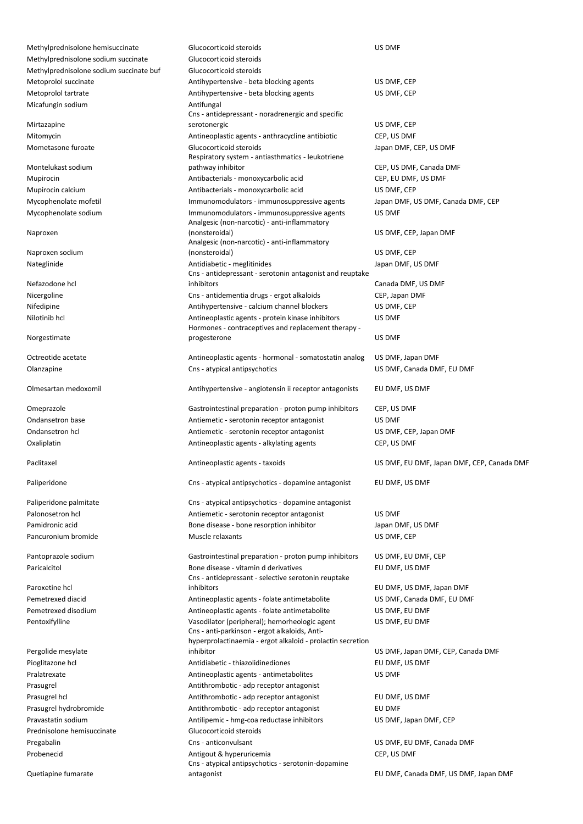Methylprednisolone hemisuccinate Glucocorticoid steroids US DMF Methylprednisolone sodium succinate Glucocorticoid steroids Methylprednisolone sodium succinate buf Glucocorticoid steroids Metoprolol succinate Antihypertensive - beta blocking agents US DMF, CEP Metoprolol tartrate and the Antihypertensive - beta blocking agents US DMF, CEP Micafungin sodium and a metal and a metal Antifungal Mirtazapine Cns - antidepressant - noradrenergic and specific serotonergic and the serotonergic use of the US DMF, CEP Mitomycin Antineoplastic agents - anthracycline antibiotic CEP, US DMF Mometasone furoate and the Glucocorticoid steroids and the Mometasone furoate Japan DMF, CEP, US DMF Montelukast sodium Respiratory system - antiasthmatics - leukotriene pathway inhibitor and a control of the CEP, US DMF, Canada DMF Mupirocin Antibacterials - monoxycarbolic acid CEP, EU DMF, US DMF Mupirocin calcium Antibacterials - monoxycarbolic acid US DMF, CEP Mycophenolate mofetil **Immunomodulators - immunosuppressive agents** Japan DMF, US DMF, Canada DMF, CEP Mycophenolate sodium and Immunomodulators - immunosuppressive agents US DMF Naproxen Analgesic (non-narcotic) - anti-inflammatory (nonsteroidal) US DMF, CEP, Japan DMF Naproxen sodium Analgesic (non-narcotic) - anti-inflammatory (nonsteroidal) US DMF, CEP Nateglinide Antidiabetic - meglitinides Japan DMF, US DMF Nefazodone hcl Cns - antidepressant - serotonin antagonist and reuptake Canada DMF, US DMF Nicergoline **CEP, Japan DMF** Cns - antidementia drugs - ergot alkaloids CEP, Japan DMF Nifedipine Antihypertensive - calcium channel blockers US DMF, CEP Nilotinib hcl Antineoplastic agents - protein kinase inhibitors US DMF Norgestimate Hormones - contraceptives and replacement therapy progesterone US DMF Octreotide acetate Antineoplastic agents - hormonal - somatostatin analog US DMF, Japan DMF Olanzapine Cns - atypical antipsychotics US DMF, Canada DMF, EU DMF Olmesartan medoxomil Antihypertensive - angiotensin ii receptor antagonists EU DMF, US DMF Omeprazole Gastrointestinal preparation - proton pump inhibitors CEP, US DMF Ondansetron base **Antiemetic - serotonin receptor antagonist** US DMF Ondansetron hcl Antiemetic - serotonin receptor antagonist US DMF, CEP, Japan DMF Oxaliplatin **Antineoplastic agents - alkylating agents** CEP, US DMF Paclitaxel **Antineoplastic agents - taxoids** US DMF, EU DMF, Japan DMF, CEP, Canada DMF Paliperidone Cns - atypical antipsychotics - dopamine antagonist EU DMF, US DMF Paliperidone palmitate Cns - atypical antipsychotics - dopamine antagonist Palonosetron hcl Antiemetic - serotonin receptor antagonist US DMF Pamidronic acid Bone disease - bone resorption inhibitor Japan DMF, US DMF Pancuronium bromide example and the Muscle relaxants and the Muscle relaxants of the Muscle relaxants of the Muscle relaxants of the Muscle relaxants of the Muscle relaxants of the Muscle relaxants of the Muscle relaxants Pantoprazole sodium Gastrointestinal preparation - proton pump inhibitors US DMF, EU DMF, CEP Paricalcitol **Bone disease - vitamin d derivatives EU DMF, US DMF** Paroxetine hcl Cns - antidepressant - selective serotonin reuptake inhibitors EU DMF, US DMF, Japan DMF Pemetrexed diacid **Antineoplastic agents - folate antimetabolite** US DMF, Canada DMF, EU DMF Pemetrexed disodium Antineoplastic agents - folate antimetabolite US DMF, EU DMF Pentoxifylline Vasodilator (peripheral); hemorheologic agent US DMF, EU DMF Pergolide mesylate Cns - anti-parkinson - ergot alkaloids, Antihyperprolactinaemia - ergot alkaloid - prolactin secretion inhibitor US DMF, Japan DMF, CEP, Canada DMF Pioglitazone hcl Antidiabetic - thiazolidinediones EU DMF, US DMF Pralatrexate Antineoplastic agents - antimetabolites US DMF Prasugrel Antithrombotic - adp receptor antagonist Prasugrel hcl **Antithrombotic - adp receptor antagonist** EU DMF, US DMF Prasugrel hydrobromide Antithrombotic - adp receptor antagonist EU DMF Pravastatin sodium Antilipemic - hmg-coa reductase inhibitors US DMF, Japan DMF, CEP Prednisolone hemisuccinate Glucocorticoid steroids Pregabalin **Company Company Company Company Company Company Company Company Company Company Company Company Company** Probenecid **Antigout & hyperuricemia** CEP, US DMF CEP, US DMF Quetiapine fumarate Cns - atypical antipsychotics - serotonin-dopamine antagonist EU DMF, Canada DMF, US DMF, Japan DMF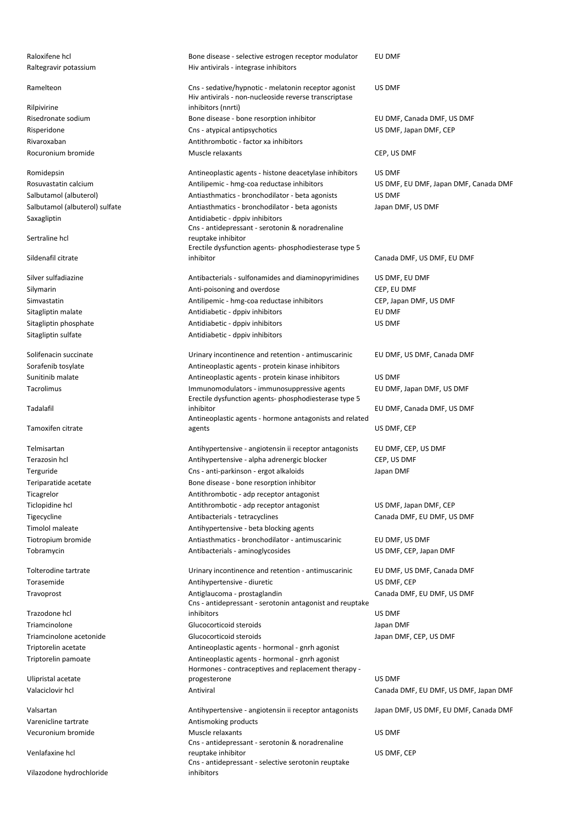| Raloxifene hcl                         | Bone disease - selective estrogen receptor modulator                                                             | EU DMF                                |
|----------------------------------------|------------------------------------------------------------------------------------------------------------------|---------------------------------------|
| Raltegravir potassium                  | Hiv antivirals - integrase inhibitors                                                                            |                                       |
| Ramelteon                              | Cns - sedative/hypnotic - melatonin receptor agonist<br>Hiv antivirals - non-nucleoside reverse transcriptase    | US DMF                                |
| Rilpivirine                            | inhibitors (nnrti)                                                                                               |                                       |
| Risedronate sodium                     | Bone disease - bone resorption inhibitor                                                                         | EU DMF, Canada DMF, US DMF            |
| Risperidone                            | Cns - atypical antipsychotics                                                                                    | US DMF, Japan DMF, CEP                |
| Rivaroxaban<br>Rocuronium bromide      | Antithrombotic - factor xa inhibitors<br>Muscle relaxants                                                        |                                       |
|                                        |                                                                                                                  | CEP, US DMF                           |
| Romidepsin                             | Antineoplastic agents - histone deacetylase inhibitors                                                           | US DMF                                |
| Rosuvastatin calcium                   | Antilipemic - hmg-coa reductase inhibitors                                                                       | US DMF, EU DMF, Japan DMF, Canada DMF |
| Salbutamol (albuterol)                 | Antiasthmatics - bronchodilator - beta agonists                                                                  | US DMF                                |
| Salbutamol (albuterol) sulfate         | Antiasthmatics - bronchodilator - beta agonists                                                                  | Japan DMF, US DMF                     |
| Saxagliptin<br>Sertraline hcl          | Antidiabetic - dppiv inhibitors<br>Cns - antidepressant - serotonin & noradrenaline<br>reuptake inhibitor        |                                       |
|                                        | Erectile dysfunction agents-phosphodiesterase type 5                                                             |                                       |
| Sildenafil citrate                     | inhibitor                                                                                                        | Canada DMF, US DMF, EU DMF            |
| Silver sulfadiazine                    | Antibacterials - sulfonamides and diaminopyrimidines                                                             | US DMF, EU DMF                        |
| Silymarin                              | Anti-poisoning and overdose                                                                                      | CEP, EU DMF                           |
| Simvastatin                            | Antilipemic - hmg-coa reductase inhibitors                                                                       | CEP, Japan DMF, US DMF                |
| Sitagliptin malate                     | Antidiabetic - dppiv inhibitors                                                                                  | EU DMF                                |
| Sitagliptin phosphate                  | Antidiabetic - dppiv inhibitors                                                                                  | US DMF                                |
| Sitagliptin sulfate                    | Antidiabetic - dppiv inhibitors                                                                                  |                                       |
| Solifenacin succinate                  | Urinary incontinence and retention - antimuscarinic                                                              | EU DMF, US DMF, Canada DMF            |
| Sorafenib tosylate<br>Sunitinib malate | Antineoplastic agents - protein kinase inhibitors                                                                |                                       |
| Tacrolimus                             | Antineoplastic agents - protein kinase inhibitors                                                                | US DMF                                |
| Tadalafil                              | Immunomodulators - immunosuppressive agents<br>Erectile dysfunction agents-phosphodiesterase type 5<br>inhibitor | EU DMF, Japan DMF, US DMF             |
|                                        | Antineoplastic agents - hormone antagonists and related                                                          | EU DMF, Canada DMF, US DMF            |
| Tamoxifen citrate                      | agents                                                                                                           | US DMF, CEP                           |
| Telmisartan                            | Antihypertensive - angiotensin ii receptor antagonists                                                           | EU DMF, CEP, US DMF                   |
| Terazosin hcl                          | Antihypertensive - alpha adrenergic blocker                                                                      | CEP, US DMF                           |
| Terguride                              | Cns - anti-parkinson - ergot alkaloids                                                                           | Japan DMF                             |
| Teriparatide acetate                   | Bone disease - bone resorption inhibitor                                                                         |                                       |
| Ticagrelor                             | Antithrombotic - adp receptor antagonist                                                                         |                                       |
| Ticlopidine hcl                        | Antithrombotic - adp receptor antagonist                                                                         | US DMF, Japan DMF, CEP                |
| Tigecycline                            | Antibacterials - tetracyclines                                                                                   | Canada DMF, EU DMF, US DMF            |
| Timolol maleate                        | Antihypertensive - beta blocking agents                                                                          |                                       |
| Tiotropium bromide                     | Antiasthmatics - bronchodilator - antimuscarinic                                                                 | EU DMF, US DMF                        |
| Tobramycin                             | Antibacterials - aminoglycosides                                                                                 | US DMF, CEP, Japan DMF                |
| Tolterodine tartrate                   | Urinary incontinence and retention - antimuscarinic                                                              | EU DMF, US DMF, Canada DMF            |
| Torasemide                             | Antihypertensive - diuretic                                                                                      | US DMF, CEP                           |
| Travoprost                             | Antiglaucoma - prostaglandin<br>Cns - antidepressant - serotonin antagonist and reuptake                         | Canada DMF, EU DMF, US DMF            |
| Trazodone hcl                          | inhibitors                                                                                                       | US DMF                                |
| Triamcinolone                          | Glucocorticoid steroids                                                                                          | Japan DMF                             |
| Triamcinolone acetonide                | Glucocorticoid steroids                                                                                          | Japan DMF, CEP, US DMF                |
| Triptorelin acetate                    | Antineoplastic agents - hormonal - gnrh agonist                                                                  |                                       |
| Triptorelin pamoate                    | Antineoplastic agents - hormonal - gnrh agonist<br>Hormones - contraceptives and replacement therapy -           |                                       |
| Ulipristal acetate                     | progesterone                                                                                                     | US DMF                                |
| Valaciclovir hcl                       | Antiviral                                                                                                        | Canada DMF, EU DMF, US DMF, Japan DMF |
| Valsartan                              | Antihypertensive - angiotensin ii receptor antagonists                                                           | Japan DMF, US DMF, EU DMF, Canada DMF |
| Varenicline tartrate                   | Antismoking products                                                                                             |                                       |
| Vecuronium bromide                     | Muscle relaxants                                                                                                 | US DMF                                |
| Venlafaxine hcl                        | Cns - antidepressant - serotonin & noradrenaline<br>reuptake inhibitor                                           | US DMF, CEP                           |
|                                        | Cns - antidepressant - selective serotonin reuptake                                                              |                                       |
| Vilazodone hydrochloride               | inhibitors                                                                                                       |                                       |